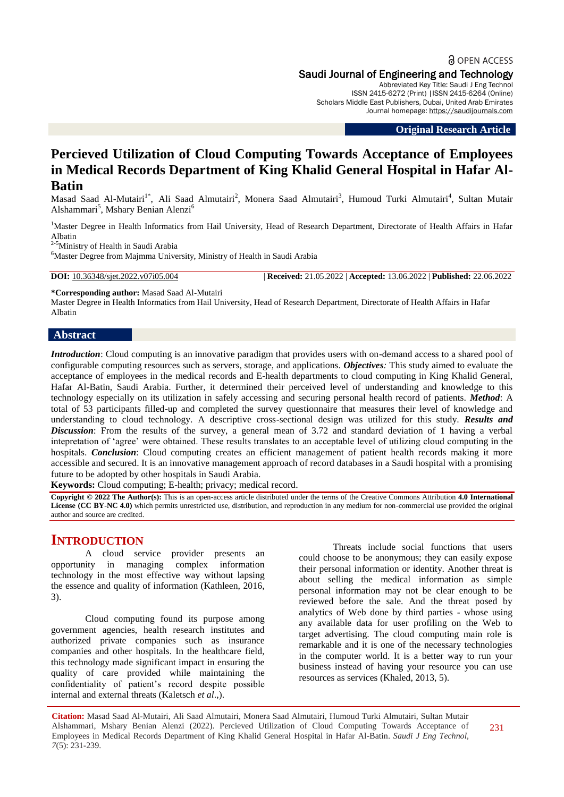# **a** OPEN ACCESS Saudi Journal of Engineering and Technology

Abbreviated Key Title: Saudi J Eng Technol ISSN 2415-6272 (Print) |ISSN 2415-6264 (Online) Scholars Middle East Publishers, Dubai, United Arab Emirates Journal homepage: [https://saudijournals.com](https://saudijournals.com/sjeat)

**Original Research Article**

# **Percieved Utilization of Cloud Computing Towards Acceptance of Employees in Medical Records Department of King Khalid General Hospital in Hafar Al-Batin**

Masad Saad Al-Mutairi<sup>1\*</sup>, Ali Saad Almutairi<sup>2</sup>, Monera Saad Almutairi<sup>3</sup>, Humoud Turki Almutairi<sup>4</sup>, Sultan Mutair Alshammari<sup>5</sup>, Mshary Benian Alenzi<sup>6</sup>

<sup>1</sup>Master Degree in Health Informatics from Hail University, Head of Research Department, Directorate of Health Affairs in Hafar Albatin

2-5Ministry of Health in Saudi Arabia

<sup>6</sup>Master Degree from Majmma University, Ministry of Health in Saudi Arabia

**DOI:** 10.36348/sjet.2022.v07i05.004 | **Received:** 21.05.2022 | **Accepted:** 13.06.2022 | **Published:** 22.06.2022

**\*Corresponding author:** Masad Saad Al-Mutairi

Master Degree in Health Informatics from Hail University, Head of Research Department, Directorate of Health Affairs in Hafar Albatin

#### **Abstract**

*Introduction*: Cloud computing is an innovative paradigm that provides users with on-demand access to a shared pool of configurable computing resources such as servers, storage, and applications. *Objectives:* This study aimed to evaluate the acceptance of employees in the medical records and E-health departments to cloud computing in King Khalid General, Hafar Al-Batin, Saudi Arabia. Further, it determined their perceived level of understanding and knowledge to this technology especially on its utilization in safely accessing and securing personal health record of patients. *Method*: A total of 53 participants filled-up and completed the survey questionnaire that measures their level of knowledge and understanding to cloud technology. A descriptive cross-sectional design was utilized for this study. *Results and Discussion*: From the results of the survey, a general mean of 3.72 and standard deviation of 1 having a verbal intepretation of 'agree' were obtained. These results translates to an acceptable level of utilizing cloud computing in the hospitals. *Conclusion*: Cloud computing creates an efficient management of patient health records making it more accessible and secured. It is an innovative management approach of record databases in a Saudi hospital with a promising future to be adopted by other hospitals in Saudi Arabia.

**Keywords:** Cloud computing; E-health; privacy; medical record.

**Copyright © 2022 The Author(s):** This is an open-access article distributed under the terms of the Creative Commons Attribution **4.0 International License (CC BY-NC 4.0)** which permits unrestricted use, distribution, and reproduction in any medium for non-commercial use provided the original author and source are credited.

# **INTRODUCTION**

A cloud service provider presents an opportunity in managing complex information technology in the most effective way without lapsing the essence and quality of information (Kathleen, 2016, 3).

Cloud computing found its purpose among government agencies, health research institutes and authorized private companies such as insurance companies and other hospitals. In the healthcare field, this technology made significant impact in ensuring the quality of care provided while maintaining the confidentiality of patient"s record despite possible internal and external threats (Kaletsch *et al*.,).

Threats include social functions that users could choose to be anonymous; they can easily expose their personal information or identity. Another threat is about selling the medical information as simple personal information may not be clear enough to be reviewed before the sale. And the threat posed by analytics of Web done by third parties - whose using any available data for user profiling on the Web to target advertising. The cloud computing main role is remarkable and it is one of the necessary technologies in the computer world. It is a better way to run your business instead of having your resource you can use resources as services (Khaled, 2013, 5).

**Citation:** Masad Saad Al-Mutairi, Ali Saad Almutairi, Monera Saad Almutairi, Humoud Turki Almutairi, Sultan Mutair Alshammari, Mshary Benian Alenzi (2022). Percieved Utilization of Cloud Computing Towards Acceptance of Employees in Medical Records Department of King Khalid General Hospital in Hafar Al-Batin. *Saudi J Eng Technol, 7*(5): 231-239.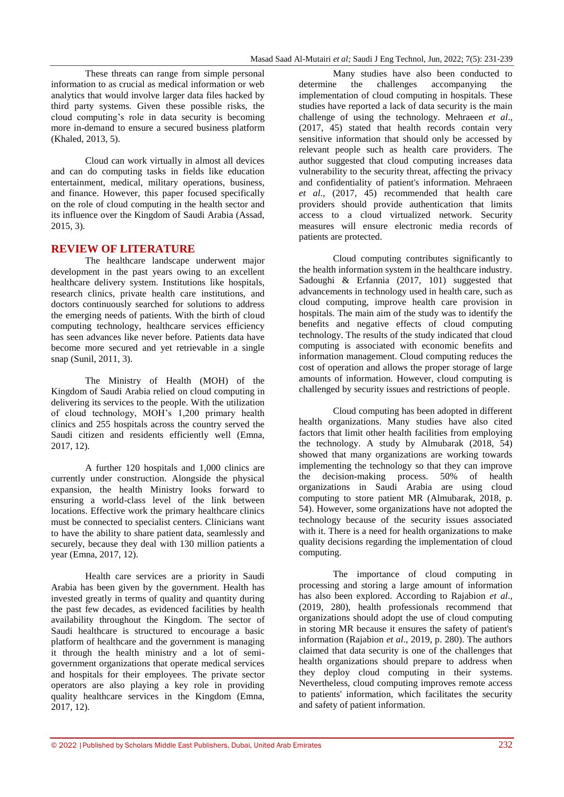These threats can range from simple personal information to as crucial as medical information or web analytics that would involve larger data files hacked by third party systems. Given these possible risks, the cloud computing"s role in data security is becoming more in-demand to ensure a secured business platform (Khaled, 2013, 5).

Cloud can work virtually in almost all devices and can do computing tasks in fields like education entertainment, medical, military operations, business, and finance. However, this paper focused specifically on the role of cloud computing in the health sector and its influence over the Kingdom of Saudi Arabia (Assad, 2015, 3).

# **REVIEW OF LITERATURE**

The healthcare landscape underwent major development in the past years owing to an excellent healthcare delivery system. Institutions like hospitals, research clinics, private health care institutions, and doctors continuously searched for solutions to address the emerging needs of patients. With the birth of cloud computing technology, healthcare services efficiency has seen advances like never before. Patients data have become more secured and yet retrievable in a single snap (Sunil, 2011, 3).

The Ministry of Health (MOH) of the Kingdom of Saudi Arabia relied on cloud computing in delivering its services to the people. With the utilization of cloud technology, MOH"s 1,200 primary health clinics and 255 hospitals across the country served the Saudi citizen and residents efficiently well (Emna, 2017, 12).

A further 120 hospitals and 1,000 clinics are currently under construction. Alongside the physical expansion, the health Ministry looks forward to ensuring a world-class level of the link between locations. Effective work the primary healthcare clinics must be connected to specialist centers. Clinicians want to have the ability to share patient data, seamlessly and securely, because they deal with 130 million patients a year (Emna, 2017, 12).

Health care services are a priority in Saudi Arabia has been given by the government. Health has invested greatly in terms of quality and quantity during the past few decades, as evidenced facilities by health availability throughout the Kingdom. The sector of Saudi healthcare is structured to encourage a basic platform of healthcare and the government is managing it through the health ministry and a lot of semigovernment organizations that operate medical services and hospitals for their employees. The private sector operators are also playing a key role in providing quality healthcare services in the Kingdom (Emna, 2017, 12).

Many studies have also been conducted to determine the challenges accompanying the implementation of cloud computing in hospitals. These studies have reported a lack of data security is the main challenge of using the technology. Mehraeen *et al*., (2017, 45) stated that health records contain very sensitive information that should only be accessed by relevant people such as health care providers. The author suggested that cloud computing increases data vulnerability to the security threat, affecting the privacy and confidentiality of patient's information. Mehraeen *et al*., (2017, 45) recommended that health care providers should provide authentication that limits access to a cloud virtualized network. Security measures will ensure electronic media records of patients are protected.

Cloud computing contributes significantly to the health information system in the healthcare industry. Sadoughi & Erfannia (2017, 101) suggested that advancements in technology used in health care, such as cloud computing, improve health care provision in hospitals. The main aim of the study was to identify the benefits and negative effects of cloud computing technology. The results of the study indicated that cloud computing is associated with economic benefits and information management. Cloud computing reduces the cost of operation and allows the proper storage of large amounts of information. However, cloud computing is challenged by security issues and restrictions of people.

Cloud computing has been adopted in different health organizations. Many studies have also cited factors that limit other health facilities from employing the technology. A study by Almubarak (2018, 54) showed that many organizations are working towards implementing the technology so that they can improve the decision-making process. 50% of health organizations in Saudi Arabia are using cloud computing to store patient MR (Almubarak, 2018, p. 54). However, some organizations have not adopted the technology because of the security issues associated with it. There is a need for health organizations to make quality decisions regarding the implementation of cloud computing.

The importance of cloud computing in processing and storing a large amount of information has also been explored. According to Rajabion *et al*., (2019, 280), health professionals recommend that organizations should adopt the use of cloud computing in storing MR because it ensures the safety of patient's information (Rajabion *et al*., 2019, p. 280). The authors claimed that data security is one of the challenges that health organizations should prepare to address when they deploy cloud computing in their systems. Nevertheless, cloud computing improves remote access to patients' information, which facilitates the security and safety of patient information.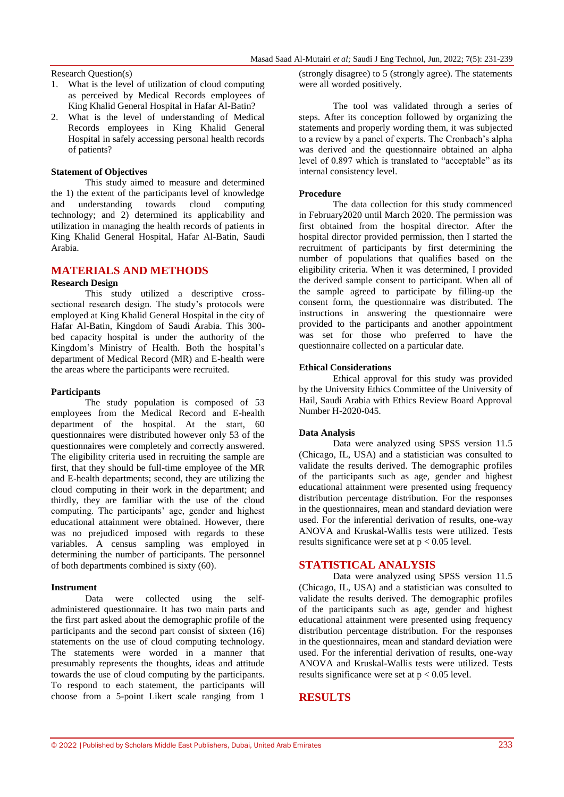# Research Question(s)

- 1. What is the level of utilization of cloud computing as perceived by Medical Records employees of King Khalid General Hospital in Hafar Al-Batin?
- 2. What is the level of understanding of Medical Records employees in King Khalid General Hospital in safely accessing personal health records of patients?

#### **Statement of Objectives**

This study aimed to measure and determined the 1) the extent of the participants level of knowledge and understanding towards cloud computing technology; and 2) determined its applicability and utilization in managing the health records of patients in King Khalid General Hospital, Hafar Al-Batin, Saudi Arabia.

### **MATERIALS AND METHODS**

#### **Research Design**

This study utilized a descriptive crosssectional research design. The study"s protocols were employed at King Khalid General Hospital in the city of Hafar Al-Batin, Kingdom of Saudi Arabia. This 300 bed capacity hospital is under the authority of the Kingdom's Ministry of Health. Both the hospital's department of Medical Record (MR) and E-health were the areas where the participants were recruited.

#### **Participants**

The study population is composed of 53 employees from the Medical Record and E-health department of the hospital. At the start, 60 questionnaires were distributed however only 53 of the questionnaires were completely and correctly answered. The eligibility criteria used in recruiting the sample are first, that they should be full-time employee of the MR and E-health departments; second, they are utilizing the cloud computing in their work in the department; and thirdly, they are familiar with the use of the cloud computing. The participants' age, gender and highest educational attainment were obtained. However, there was no prejudiced imposed with regards to these variables. A census sampling was employed in determining the number of participants. The personnel of both departments combined is sixty (60).

#### **Instrument**

Data were collected using the selfadministered questionnaire. It has two main parts and the first part asked about the demographic profile of the participants and the second part consist of sixteen (16) statements on the use of cloud computing technology. The statements were worded in a manner that presumably represents the thoughts, ideas and attitude towards the use of cloud computing by the participants. To respond to each statement, the participants will choose from a 5-point Likert scale ranging from 1

(strongly disagree) to 5 (strongly agree). The statements were all worded positively.

The tool was validated through a series of steps. After its conception followed by organizing the statements and properly wording them, it was subjected to a review by a panel of experts. The Cronbach's alpha was derived and the questionnaire obtained an alpha level of 0.897 which is translated to "acceptable" as its internal consistency level.

#### **Procedure**

The data collection for this study commenced in February2020 until March 2020. The permission was first obtained from the hospital director. After the hospital director provided permission, then I started the recruitment of participants by first determining the number of populations that qualifies based on the eligibility criteria. When it was determined, I provided the derived sample consent to participant. When all of the sample agreed to participate by filling-up the consent form, the questionnaire was distributed. The instructions in answering the questionnaire were provided to the participants and another appointment was set for those who preferred to have the questionnaire collected on a particular date.

#### **Ethical Considerations**

Ethical approval for this study was provided by the University Ethics Committee of the University of Hail, Saudi Arabia with Ethics Review Board Approval Number H-2020-045.

#### **Data Analysis**

Data were analyzed using SPSS version 11.5 (Chicago, IL, USA) and a statistician was consulted to validate the results derived. The demographic profiles of the participants such as age, gender and highest educational attainment were presented using frequency distribution percentage distribution. For the responses in the questionnaires, mean and standard deviation were used. For the inferential derivation of results, one-way ANOVA and Kruskal-Wallis tests were utilized. Tests results significance were set at  $p < 0.05$  level.

### **STATISTICAL ANALYSIS**

Data were analyzed using SPSS version 11.5 (Chicago, IL, USA) and a statistician was consulted to validate the results derived. The demographic profiles of the participants such as age, gender and highest educational attainment were presented using frequency distribution percentage distribution. For the responses in the questionnaires, mean and standard deviation were used. For the inferential derivation of results, one-way ANOVA and Kruskal-Wallis tests were utilized. Tests results significance were set at  $p < 0.05$  level.

### **RESULTS**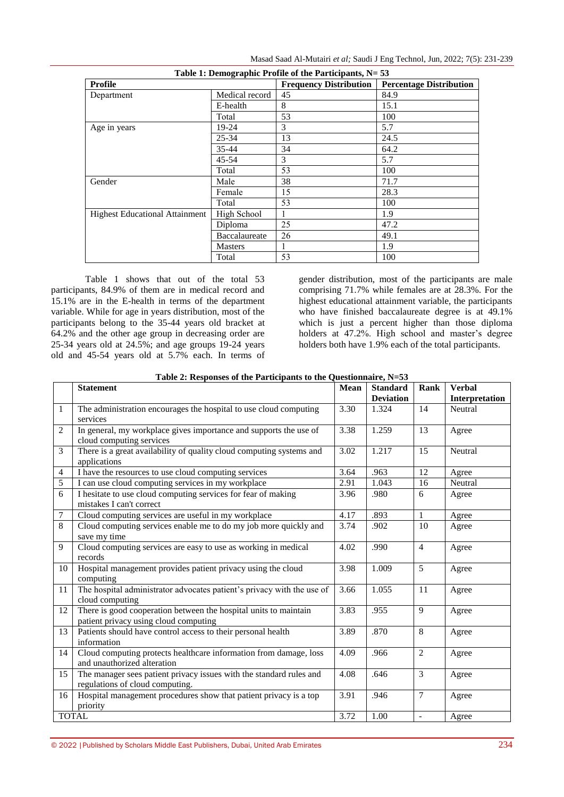| Table 1: Demographic Profile of the Participants, N= 53 |                |                               |                                |  |  |  |  |  |
|---------------------------------------------------------|----------------|-------------------------------|--------------------------------|--|--|--|--|--|
| <b>Profile</b>                                          |                | <b>Frequency Distribution</b> | <b>Percentage Distribution</b> |  |  |  |  |  |
| Department                                              | Medical record | 45                            | 84.9                           |  |  |  |  |  |
|                                                         | E-health       | 8                             | 15.1                           |  |  |  |  |  |
|                                                         | Total          | 53                            | 100                            |  |  |  |  |  |
| Age in years                                            | 19-24          | 3                             | 5.7                            |  |  |  |  |  |
|                                                         | $25 - 34$      | 13                            | 24.5                           |  |  |  |  |  |
|                                                         | 35-44          | 34                            | 64.2                           |  |  |  |  |  |
|                                                         | $45 - 54$      | 3                             | 5.7                            |  |  |  |  |  |
|                                                         | Total          | 53                            | 100                            |  |  |  |  |  |
| Gender                                                  | Male           | 38                            | 71.7                           |  |  |  |  |  |
|                                                         | Female         | 15                            | 28.3                           |  |  |  |  |  |
|                                                         | Total          | 53                            | 100                            |  |  |  |  |  |
| <b>Highest Educational Attainment</b>                   | High School    |                               | 1.9                            |  |  |  |  |  |
|                                                         | Diploma        | 25                            | 47.2                           |  |  |  |  |  |
|                                                         | Baccalaureate  | 26                            | 49.1                           |  |  |  |  |  |
|                                                         | <b>Masters</b> | 1                             | 1.9                            |  |  |  |  |  |
|                                                         | Total          | 53                            | 100                            |  |  |  |  |  |

Table 1 shows that out of the total 53 participants, 84.9% of them are in medical record and 15.1% are in the E-health in terms of the department variable. While for age in years distribution, most of the participants belong to the 35-44 years old bracket at 64.2% and the other age group in decreasing order are 25-34 years old at 24.5%; and age groups 19-24 years old and 45-54 years old at 5.7% each. In terms of gender distribution, most of the participants are male comprising 71.7% while females are at 28.3%. For the highest educational attainment variable, the participants who have finished baccalaureate degree is at 49.1% which is just a percent higher than those diploma holders at 47.2%. High school and master's degree holders both have 1.9% each of the total participants.

|              | <b>Statement</b>                                                                                          | <b>Mean</b> | <b>Standard</b>  | Rank           | <b>Verbal</b>  |
|--------------|-----------------------------------------------------------------------------------------------------------|-------------|------------------|----------------|----------------|
|              |                                                                                                           |             | <b>Deviation</b> |                | Interpretation |
| $\mathbf{1}$ | The administration encourages the hospital to use cloud computing<br>services                             | 3.30        | 1.324            | 14             | Neutral        |
| 2            | In general, my workplace gives importance and supports the use of<br>cloud computing services             | 3.38        | 1.259            | 13             | Agree          |
| 3            | There is a great availability of quality cloud computing systems and<br>applications                      | 3.02        | 1.217            | 15             | Neutral        |
| 4            | I have the resources to use cloud computing services                                                      | 3.64        | .963             | 12             | Agree          |
| 5            | I can use cloud computing services in my workplace                                                        | 2.91        | 1.043            | 16             | Neutral        |
| 6            | I hesitate to use cloud computing services for fear of making<br>mistakes I can't correct                 | 3.96        | .980             | 6              | Agree          |
| 7            | Cloud computing services are useful in my workplace                                                       | 4.17        | .893             | 1              | Agree          |
| 8            | Cloud computing services enable me to do my job more quickly and<br>save my time                          | 3.74        | .902             | 10             | Agree          |
| 9            | Cloud computing services are easy to use as working in medical<br>records                                 | 4.02        | .990             | $\overline{4}$ | Agree          |
| 10           | Hospital management provides patient privacy using the cloud<br>computing                                 | 3.98        | 1.009            | 5              | Agree          |
| 11           | The hospital administrator advocates patient's privacy with the use of<br>cloud computing                 | 3.66        | 1.055            | 11             | Agree          |
| 12           | There is good cooperation between the hospital units to maintain<br>patient privacy using cloud computing | 3.83        | .955             | 9              | Agree          |
| 13           | Patients should have control access to their personal health<br>information                               | 3.89        | .870             | 8              | Agree          |
| 14           | Cloud computing protects healthcare information from damage, loss<br>and unauthorized alteration          | 4.09        | .966             | 2              | Agree          |
| 15           | The manager sees patient privacy issues with the standard rules and<br>regulations of cloud computing.    | 4.08        | .646             | 3              | Agree          |
| 16           | Hospital management procedures show that patient privacy is a top<br>priority                             | 3.91        | .946             | $\overline{7}$ | Agree          |
|              | <b>TOTAL</b>                                                                                              | 3.72        | 1.00             | $\mathbb{L}$   | Agree          |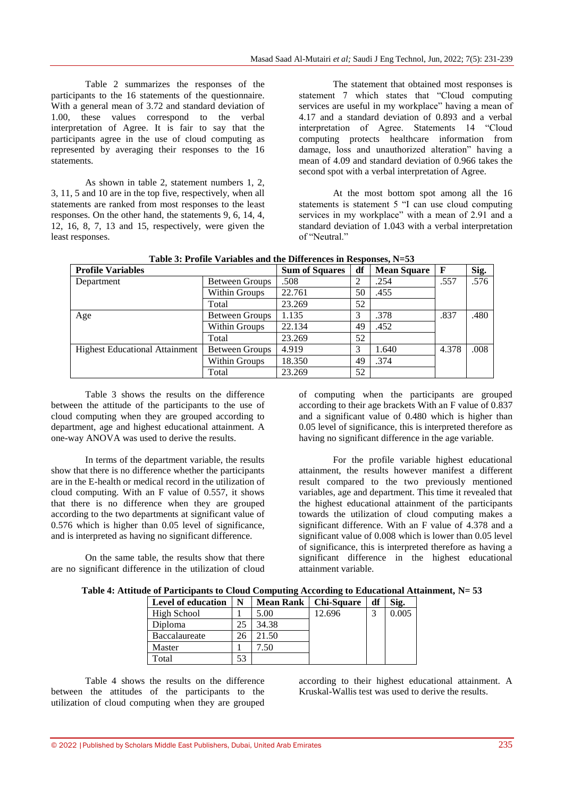Table 2 summarizes the responses of the participants to the 16 statements of the questionnaire. With a general mean of 3.72 and standard deviation of 1.00, these values correspond to the verbal interpretation of Agree. It is fair to say that the participants agree in the use of cloud computing as represented by averaging their responses to the 16 statements.

As shown in table 2, statement numbers 1, 2, 3, 11, 5 and 10 are in the top five, respectively, when all statements are ranked from most responses to the least responses. On the other hand, the statements 9, 6, 14, 4, 12, 16, 8, 7, 13 and 15, respectively, were given the least responses.

The statement that obtained most responses is statement 7 which states that "Cloud computing services are useful in my workplace" having a mean of 4.17 and a standard deviation of 0.893 and a verbal interpretation of Agree. Statements 14 "Cloud computing protects healthcare information from damage, loss and unauthorized alteration" having a mean of 4.09 and standard deviation of 0.966 takes the second spot with a verbal interpretation of Agree.

At the most bottom spot among all the 16 statements is statement 5 "I can use cloud computing services in my workplace" with a mean of 2.91 and a standard deviation of 1.043 with a verbal interpretation of "Neutral."

| Tuble of Trollie's armores and the Direct ences in Responses, 19–00 |                       |                       |    |                    |              |      |  |  |
|---------------------------------------------------------------------|-----------------------|-----------------------|----|--------------------|--------------|------|--|--|
| <b>Profile Variables</b>                                            |                       | <b>Sum of Squares</b> | df | <b>Mean Square</b> | $\mathbf{F}$ | Sig. |  |  |
| Department                                                          | <b>Between Groups</b> | .508                  |    | .254               | .557         | .576 |  |  |
|                                                                     | Within Groups         | 22.761                | 50 | .455               |              |      |  |  |
|                                                                     | Total                 | 23.269                | 52 |                    |              |      |  |  |
| Age                                                                 | <b>Between Groups</b> | 1.135                 | 3  | .378               | .837         | .480 |  |  |
|                                                                     | Within Groups         | 22.134                | 49 | .452               |              |      |  |  |
|                                                                     | Total                 | 23.269                | 52 |                    |              |      |  |  |
| <b>Highest Educational Attainment</b>                               | <b>Between Groups</b> | 4.919                 | 3  | 1.640              | 4.378        | .008 |  |  |
|                                                                     | Within Groups         | 18.350                | 49 | .374               |              |      |  |  |
|                                                                     | Total                 | 23.269                | 52 |                    |              |      |  |  |

**Table 3: Profile Variables and the Differences in Responses, N=53**

Table 3 shows the results on the difference between the attitude of the participants to the use of cloud computing when they are grouped according to department, age and highest educational attainment. A one-way ANOVA was used to derive the results.

In terms of the department variable, the results show that there is no difference whether the participants are in the E-health or medical record in the utilization of cloud computing. With an F value of 0.557, it shows that there is no difference when they are grouped according to the two departments at significant value of 0.576 which is higher than 0.05 level of significance, and is interpreted as having no significant difference.

On the same table, the results show that there are no significant difference in the utilization of cloud of computing when the participants are grouped according to their age brackets With an F value of 0.837 and a significant value of 0.480 which is higher than 0.05 level of significance, this is interpreted therefore as having no significant difference in the age variable.

For the profile variable highest educational attainment, the results however manifest a different result compared to the two previously mentioned variables, age and department. This time it revealed that the highest educational attainment of the participants towards the utilization of cloud computing makes a significant difference. With an F value of 4.378 and a significant value of 0.008 which is lower than 0.05 level of significance, this is interpreted therefore as having a significant difference in the highest educational attainment variable.

| N  |       | <b>Chi-Square</b> | df               | Sig.  |
|----|-------|-------------------|------------------|-------|
|    | 5.00  | 12.696            | 3                | 0.005 |
|    | 34.38 |                   |                  |       |
|    | 21.50 |                   |                  |       |
|    | .50   |                   |                  |       |
| 53 |       |                   |                  |       |
|    |       |                   | <b>Mean Rank</b> |       |

Table 4 shows the results on the difference between the attitudes of the participants to the utilization of cloud computing when they are grouped according to their highest educational attainment. A Kruskal-Wallis test was used to derive the results.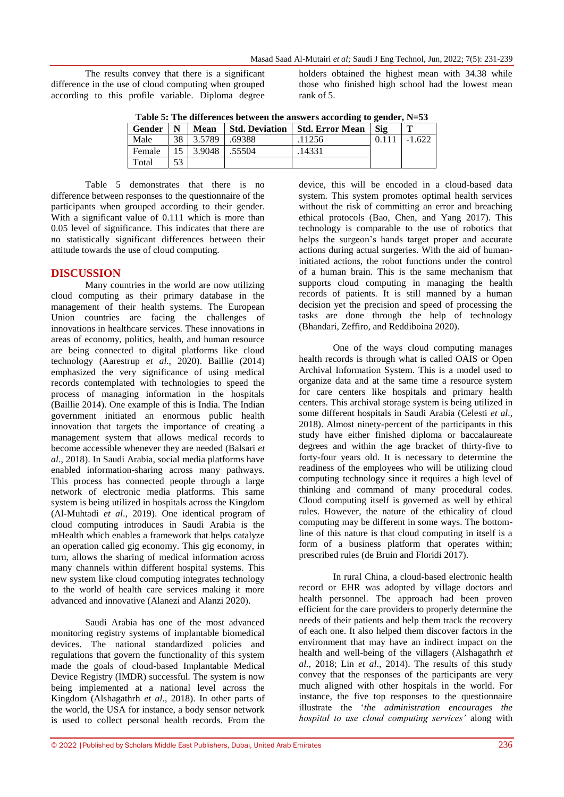The results convey that there is a significant difference in the use of cloud computing when grouped according to this profile variable. Diploma degree holders obtained the highest mean with 34.38 while those who finished high school had the lowest mean rank of 5.

|  |  |  |  |  |  |  |  | Table 5: The differences between the answers according to gender, $N=53$ |  |
|--|--|--|--|--|--|--|--|--------------------------------------------------------------------------|--|
|--|--|--|--|--|--|--|--|--------------------------------------------------------------------------|--|

| Gender | N  | <b>Mean</b> | <b>Std. Deviation</b> | <b>Std. Error Mean</b> | Sig | m        |
|--------|----|-------------|-----------------------|------------------------|-----|----------|
| Male   | 38 | 3.5789      | .69388                | 11256                  |     | $-1.622$ |
| Female |    | 3.9048      | .55504                | 14331                  |     |          |
| Total  | 53 |             |                       |                        |     |          |

Table 5 demonstrates that there is no difference between responses to the questionnaire of the participants when grouped according to their gender. With a significant value of 0.111 which is more than 0.05 level of significance. This indicates that there are no statistically significant differences between their attitude towards the use of cloud computing.

# **DISCUSSION**

Many countries in the world are now utilizing cloud computing as their primary database in the management of their health systems. The European Union countries are facing the challenges of innovations in healthcare services. These innovations in areas of economy, politics, health, and human resource are being connected to digital platforms like cloud technology (Aarestrup *et al*., 2020). Baillie (2014) emphasized the very significance of using medical records contemplated with technologies to speed the process of managing information in the hospitals (Baillie 2014). One example of this is India. The Indian government initiated an enormous public health innovation that targets the importance of creating a management system that allows medical records to become accessible whenever they are needed (Balsari *et al.*, 2018). In Saudi Arabia, social media platforms have enabled information-sharing across many pathways. This process has connected people through a large network of electronic media platforms. This same system is being utilized in hospitals across the Kingdom (Al-Muhtadi *et al*., 2019). One identical program of cloud computing introduces in Saudi Arabia is the mHealth which enables a framework that helps catalyze an operation called gig economy. This gig economy, in turn, allows the sharing of medical information across many channels within different hospital systems. This new system like cloud computing integrates technology to the world of health care services making it more advanced and innovative (Alanezi and Alanzi 2020).

Saudi Arabia has one of the most advanced monitoring registry systems of implantable biomedical devices. The national standardized policies and regulations that govern the functionality of this system made the goals of cloud-based Implantable Medical Device Registry (IMDR) successful. The system is now being implemented at a national level across the Kingdom (Alshagathrh *et al*., 2018). In other parts of the world, the USA for instance, a body sensor network is used to collect personal health records. From the

device, this will be encoded in a cloud-based data system. This system promotes optimal health services without the risk of committing an error and breaching ethical protocols (Bao, Chen, and Yang 2017). This technology is comparable to the use of robotics that helps the surgeon"s hands target proper and accurate actions during actual surgeries. With the aid of humaninitiated actions, the robot functions under the control of a human brain. This is the same mechanism that supports cloud computing in managing the health records of patients. It is still manned by a human decision yet the precision and speed of processing the tasks are done through the help of technology (Bhandari, Zeffiro, and Reddiboina 2020).

One of the ways cloud computing manages health records is through what is called OAIS or Open Archival Information System. This is a model used to organize data and at the same time a resource system for care centers like hospitals and primary health centers. This archival storage system is being utilized in some different hospitals in Saudi Arabia (Celesti *et al*., 2018). Almost ninety-percent of the participants in this study have either finished diploma or baccalaureate degrees and within the age bracket of thirty-five to forty-four years old. It is necessary to determine the readiness of the employees who will be utilizing cloud computing technology since it requires a high level of thinking and command of many procedural codes. Cloud computing itself is governed as well by ethical rules. However, the nature of the ethicality of cloud computing may be different in some ways. The bottomline of this nature is that cloud computing in itself is a form of a business platform that operates within; prescribed rules (de Bruin and Floridi 2017).

In rural China, a cloud-based electronic health record or EHR was adopted by village doctors and health personnel. The approach had been proven efficient for the care providers to properly determine the needs of their patients and help them track the recovery of each one. It also helped them discover factors in the environment that may have an indirect impact on the health and well-being of the villagers (Alshagathrh *et al*., 2018; Lin *et al*., 2014). The results of this study convey that the responses of the participants are very much aligned with other hospitals in the world. For instance, the five top responses to the questionnaire illustrate the "*the administration encourages the hospital to use cloud computing services'* along with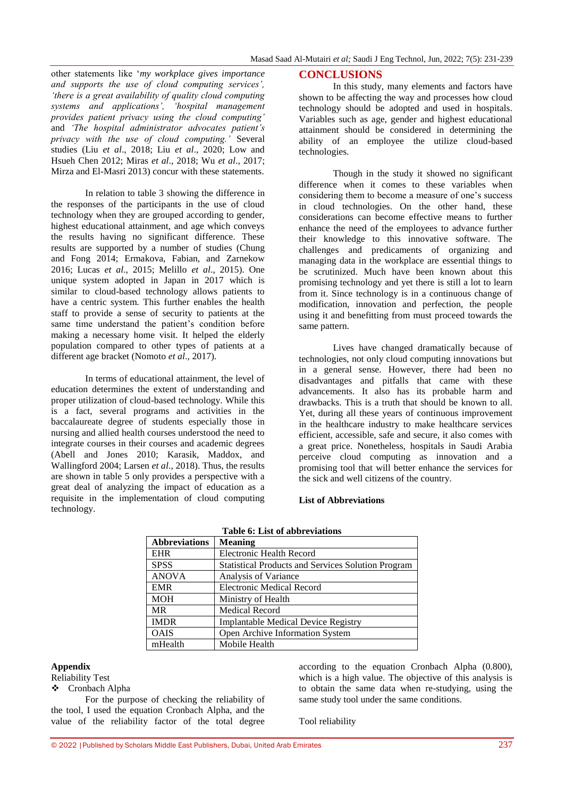other statements like "*my workplace gives importance and supports the use of cloud computing services', 'there is a great availability of quality cloud computing systems and applications', 'hospital management provides patient privacy using the cloud computing'*  and *'The hospital administrator advocates patient's privacy with the use of cloud computing.'* Several studies (Liu *et al*., 2018; Liu *et al*., 2020; Low and Hsueh Chen 2012; Miras *et al*., 2018; Wu *et al*., 2017; Mirza and El-Masri 2013) concur with these statements.

In relation to table 3 showing the difference in the responses of the participants in the use of cloud technology when they are grouped according to gender, highest educational attainment, and age which conveys the results having no significant difference. These results are supported by a number of studies (Chung and Fong 2014; Ermakova, Fabian, and Zarnekow 2016; Lucas *et al*., 2015; Melillo *et al*., 2015). One unique system adopted in Japan in 2017 which is similar to cloud-based technology allows patients to have a centric system. This further enables the health staff to provide a sense of security to patients at the same time understand the patient's condition before making a necessary home visit. It helped the elderly population compared to other types of patients at a different age bracket (Nomoto *et al*., 2017).

In terms of educational attainment, the level of education determines the extent of understanding and proper utilization of cloud-based technology. While this is a fact, several programs and activities in the baccalaureate degree of students especially those in nursing and allied health courses understood the need to integrate courses in their courses and academic degrees (Abell and Jones 2010; Karasik, Maddox, and Wallingford 2004; Larsen *et al*., 2018). Thus, the results are shown in table 5 only provides a perspective with a great deal of analyzing the impact of education as a requisite in the implementation of cloud computing technology.

#### **CONCLUSIONS**

In this study, many elements and factors have shown to be affecting the way and processes how cloud technology should be adopted and used in hospitals. Variables such as age, gender and highest educational attainment should be considered in determining the ability of an employee the utilize cloud-based technologies.

Though in the study it showed no significant difference when it comes to these variables when considering them to become a measure of one"s success in cloud technologies. On the other hand, these considerations can become effective means to further enhance the need of the employees to advance further their knowledge to this innovative software. The challenges and predicaments of organizing and managing data in the workplace are essential things to be scrutinized. Much have been known about this promising technology and yet there is still a lot to learn from it. Since technology is in a continuous change of modification, innovation and perfection, the people using it and benefitting from must proceed towards the same pattern.

Lives have changed dramatically because of technologies, not only cloud computing innovations but in a general sense. However, there had been no disadvantages and pitfalls that came with these advancements. It also has its probable harm and drawbacks. This is a truth that should be known to all. Yet, during all these years of continuous improvement in the healthcare industry to make healthcare services efficient, accessible, safe and secure, it also comes with a great price. Nonetheless, hospitals in Saudi Arabia perceive cloud computing as innovation and a promising tool that will better enhance the services for the sick and well citizens of the country.

#### **List of Abbreviations**

| <b>Abbreviations</b> | <b>Meaning</b>                                            |
|----------------------|-----------------------------------------------------------|
| <b>EHR</b>           | Electronic Health Record                                  |
| <b>SPSS</b>          | <b>Statistical Products and Services Solution Program</b> |
| <b>ANOVA</b>         | Analysis of Variance                                      |
| <b>EMR</b>           | <b>Electronic Medical Record</b>                          |
| <b>MOH</b>           | Ministry of Health                                        |
| <b>MR</b>            | <b>Medical Record</b>                                     |
| <b>IMDR</b>          | <b>Implantable Medical Device Registry</b>                |
| <b>OAIS</b>          | Open Archive Information System                           |
| mHealth              | Mobile Health                                             |

#### **Table 6: List of abbreviations**

#### **Appendix**

# Reliability Test

Cronbach Alpha

For the purpose of checking the reliability of the tool, I used the equation Cronbach Alpha, and the value of the reliability factor of the total degree

according to the equation Cronbach Alpha (0.800), which is a high value. The objective of this analysis is to obtain the same data when re-studying, using the same study tool under the same conditions.

Tool reliability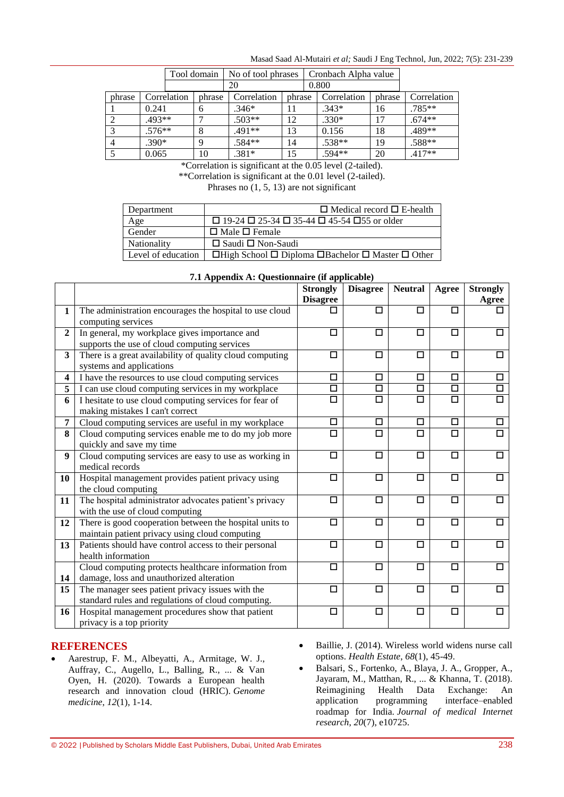| Masad Saad Al-Mutairi et al; Saudi J Eng Technol, Jun, 2022; 7(5): 231-239 |  |
|----------------------------------------------------------------------------|--|
|----------------------------------------------------------------------------|--|

|        |          |             | Tool domain | No of tool phrases |        | Cronbach Alpha value |             |        |             |
|--------|----------|-------------|-------------|--------------------|--------|----------------------|-------------|--------|-------------|
|        |          |             |             | 20                 |        |                      | 0.800       |        |             |
| phrase |          | Correlation | phrase      | Correlation        | phrase |                      | Correlation | phrase | Correlation |
|        | 0.241    |             | 6           | $.346*$            | 11     |                      | $.343*$     | 16     | $.785**$    |
|        | $.493**$ |             |             | $.503**$           | 12     |                      | $.330*$     | 17     | $.674**$    |
| 3      | $.576**$ |             | 8           | .491**             | 13     |                      | 0.156       | 18     | .489**      |
|        | $.390*$  |             | 9           | .584**             | 14     |                      | $.538**$    | 19     | .588**      |
|        | 0.065    |             | 10          | $.381*$            | 15     |                      | .594**      | 20     | $.417**$    |

\*Correlation is significant at the 0.05 level (2-tailed).

\*\*Correlation is significant at the 0.01 level (2-tailed).

Phrases no  $(1, 5, 13)$  are not significant

| Department         | $\Box$ Medical record $\Box$ E-health                                        |
|--------------------|------------------------------------------------------------------------------|
| Age                | $\Box$ 19-24 $\Box$ 25-34 $\Box$ 35-44 $\Box$ 45-54 $\Box$ 55 or older       |
| Gender             | $\Box$ Male $\Box$ Female                                                    |
| Nationality        | $\Box$ Saudi $\Box$ Non-Saudi                                                |
| Level of education | $\Box$ High School $\Box$ Diploma $\Box$ Bachelor $\Box$ Master $\Box$ Other |

|                         | $\ldots$ repetions in Questionian c (if applicable)                                          | <b>Strongly</b>      | <b>Disagree</b>      | <b>Neutral</b>       | Agree                | <b>Strongly</b>   |
|-------------------------|----------------------------------------------------------------------------------------------|----------------------|----------------------|----------------------|----------------------|-------------------|
|                         |                                                                                              | <b>Disagree</b>      |                      |                      |                      | Agree             |
| $\mathbf{1}$            | The administration encourages the hospital to use cloud                                      |                      | □                    | □                    | □                    |                   |
|                         | computing services                                                                           |                      |                      |                      |                      |                   |
| $\mathbf{2}$            | In general, my workplace gives importance and                                                | □                    | П                    | $\Box$               | $\Box$               | □                 |
|                         | supports the use of cloud computing services                                                 |                      |                      |                      |                      |                   |
| 3 <sup>1</sup>          | There is a great availability of quality cloud computing                                     | □                    | □                    | □                    | □                    | □                 |
|                         | systems and applications                                                                     |                      |                      |                      |                      |                   |
| $\overline{\mathbf{4}}$ | I have the resources to use cloud computing services                                         | $\Box$               | $\overline{\square}$ | $\Box$               | $\Box$               | $\Box$            |
| 5 <sup>5</sup>          | I can use cloud computing services in my workplace                                           | $\overline{\square}$ | $\Box$               | $\Box$               | $\Box$               | $\Box$            |
| 6                       | I hesitate to use cloud computing services for fear of                                       | $\Box$               | $\Box$               | $\Box$               | $\Box$               | $\overline{\Box}$ |
|                         | making mistakes I can't correct                                                              |                      |                      |                      |                      |                   |
| 7 <sup>1</sup>          | Cloud computing services are useful in my workplace                                          | □                    | $\Box$               | □                    | □                    | □                 |
| 8                       | Cloud computing services enable me to do my job more                                         | $\Box$               | $\Box$               | □                    | $\Box$               | $\Box$            |
|                         | quickly and save my time                                                                     |                      |                      |                      |                      |                   |
| 9                       | Cloud computing services are easy to use as working in                                       | $\Box$               | $\Box$               | $\Box$               | $\Box$               | $\Box$            |
|                         | medical records                                                                              |                      |                      |                      |                      |                   |
| 10                      | Hospital management provides patient privacy using                                           | □                    | □                    | $\Box$               | □                    | □                 |
|                         | the cloud computing                                                                          |                      |                      |                      |                      |                   |
| 11                      | The hospital administrator advocates patient's privacy                                       | $\overline{\square}$ | $\Box$               | $\overline{\square}$ | $\overline{\square}$ | $\Box$            |
|                         | with the use of cloud computing                                                              |                      |                      |                      |                      |                   |
| 12                      | There is good cooperation between the hospital units to                                      | □                    | □                    | □                    | □                    | □                 |
|                         | maintain patient privacy using cloud computing                                               |                      |                      |                      |                      |                   |
| 13                      | Patients should have control access to their personal<br>health information                  | $\Box$               | $\Box$               | $\Box$               | $\Box$               | $\Box$            |
|                         |                                                                                              | □                    | □                    | $\Box$               | □                    | $\Box$            |
|                         | Cloud computing protects healthcare information from                                         |                      |                      |                      |                      |                   |
| 14<br>15                | damage, loss and unauthorized alteration<br>The manager sees patient privacy issues with the | □                    | П                    | $\Box$               | $\Box$               | $\Box$            |
|                         | standard rules and regulations of cloud computing.                                           |                      |                      |                      |                      |                   |
| 16                      | Hospital management procedures show that patient                                             | □                    | $\Box$               | $\Box$               | □                    | □                 |
|                         | privacy is a top priority                                                                    |                      |                      |                      |                      |                   |
|                         |                                                                                              |                      |                      |                      |                      |                   |

# **7.1 Appendix A: Questionnaire (if applicable)**

# **REFERENCES**

- Aarestrup, F. M., Albeyatti, A., Armitage, W. J., Auffray, C., Augello, L., Balling, R., ... & Van Oyen, H. (2020). Towards a European health research and innovation cloud (HRIC). *Genome medicine*, *12*(1), 1-14.
- Baillie, J. (2014). Wireless world widens nurse call options. *Health Estate*, *68*(1), 45-49.

 Balsari, S., Fortenko, A., Blaya, J. A., Gropper, A., Jayaram, M., Matthan, R., ... & Khanna, T. (2018). Reimagining Health Data Exchange: An application programming interface–enabled roadmap for India. *Journal of medical Internet research*, *20*(7), e10725.